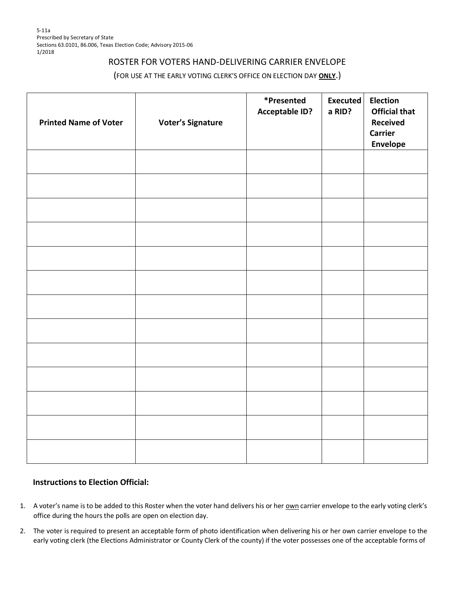## ROSTER FOR VOTERS HAND-DELIVERING CARRIER ENVELOPE

## (FOR USE AT THE EARLY VOTING CLERK'S OFFICE ON ELECTION DAY **ONLY**.)

| <b>Printed Name of Voter</b> | <b>Voter's Signature</b> | *Presented<br><b>Acceptable ID?</b> | <b>Executed</b><br>a RID? | <b>Election</b><br><b>Official that</b><br><b>Received</b><br><b>Carrier</b><br>Envelope |
|------------------------------|--------------------------|-------------------------------------|---------------------------|------------------------------------------------------------------------------------------|
|                              |                          |                                     |                           |                                                                                          |
|                              |                          |                                     |                           |                                                                                          |
|                              |                          |                                     |                           |                                                                                          |
|                              |                          |                                     |                           |                                                                                          |
|                              |                          |                                     |                           |                                                                                          |
|                              |                          |                                     |                           |                                                                                          |
|                              |                          |                                     |                           |                                                                                          |
|                              |                          |                                     |                           |                                                                                          |
|                              |                          |                                     |                           |                                                                                          |
|                              |                          |                                     |                           |                                                                                          |
|                              |                          |                                     |                           |                                                                                          |
|                              |                          |                                     |                           |                                                                                          |
|                              |                          |                                     |                           |                                                                                          |

## **Instructions to Election Official:**

- 1. A voter's name is to be added to this Roster when the voter hand delivers his or her own carrier envelope to the early voting clerk's office during the hours the polls are open on election day.
- 2. The voter is required to present an acceptable form of photo identification when delivering his or her own carrier envelope to the early voting clerk (the Elections Administrator or County Clerk of the county) if the voter possesses one of the acceptable forms of